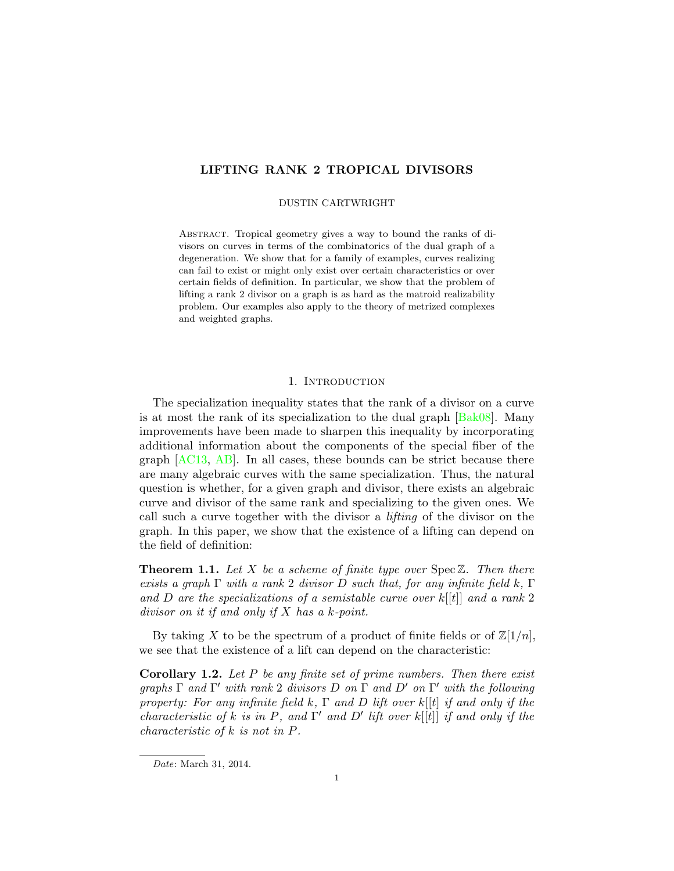# LIFTING RANK 2 TROPICAL DIVISORS

### DUSTIN CARTWRIGHT

Abstract. Tropical geometry gives a way to bound the ranks of divisors on curves in terms of the combinatorics of the dual graph of a degeneration. We show that for a family of examples, curves realizing can fail to exist or might only exist over certain characteristics or over certain fields of definition. In particular, we show that the problem of lifting a rank 2 divisor on a graph is as hard as the matroid realizability problem. Our examples also apply to the theory of metrized complexes and weighted graphs.

# 1. INTRODUCTION

The specialization inequality states that the rank of a divisor on a curve is at most the rank of its specialization to the dual graph  $\left[\text{Bak08}\right]$ . Many improvements have been made to sharpen this inequality by incorporating additional information about the components of the special fiber of the graph [\[AC13,](#page-14-1) [AB\]](#page-14-2). In all cases, these bounds can be strict because there are many algebraic curves with the same specialization. Thus, the natural question is whether, for a given graph and divisor, there exists an algebraic curve and divisor of the same rank and specializing to the given ones. We call such a curve together with the divisor a lifting of the divisor on the graph. In this paper, we show that the existence of a lifting can depend on the field of definition:

<span id="page-0-0"></span>**Theorem 1.1.** Let X be a scheme of finite type over  $Spec \mathbb{Z}$ . Then there exists a graph  $\Gamma$  with a rank 2 divisor D such that, for any infinite field k,  $\Gamma$ and D are the specializations of a semistable curve over  $k[[t]]$  and a rank 2 divisor on it if and only if X has a k-point.

By taking X to be the spectrum of a product of finite fields or of  $\mathbb{Z}[1/n]$ , we see that the existence of a lift can depend on the characteristic:

**Corollary 1.2.** Let  $P$  be any finite set of prime numbers. Then there exist graphs  $\Gamma$  and  $\Gamma'$  with rank 2 divisors D on  $\Gamma$  and D' on  $\Gamma'$  with the following property: For any infinite field k,  $\Gamma$  and D lift over k[[t] if and only if the characteristic of k is in P, and  $\Gamma'$  and D' lift over k[[t]] if and only if the characteristic of k is not in P.

Date: March 31, 2014.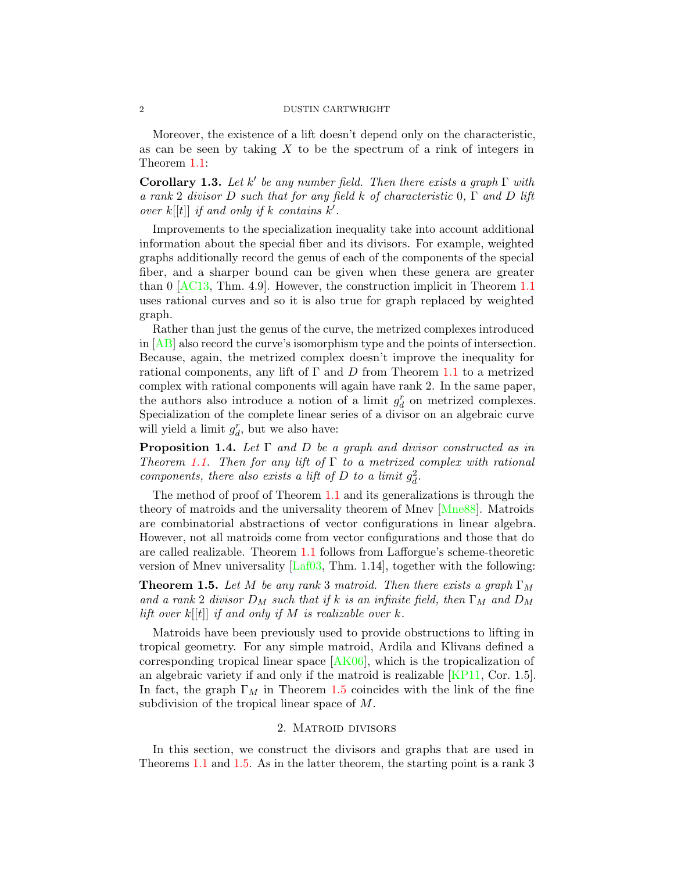Moreover, the existence of a lift doesn't depend only on the characteristic, as can be seen by taking  $X$  to be the spectrum of a rink of integers in Theorem [1.1:](#page-0-0)

**Corollary 1.3.** Let k' be any number field. Then there exists a graph  $\Gamma$  with a rank 2 divisor D such that for any field k of characteristic 0, Γ and D lift over  $k[[t]]$  if and only if k contains  $k'$ .

Improvements to the specialization inequality take into account additional information about the special fiber and its divisors. For example, weighted graphs additionally record the genus of each of the components of the special fiber, and a sharper bound can be given when these genera are greater than 0 [\[AC13,](#page-14-1) Thm. 4.9]. However, the construction implicit in Theorem [1.1](#page-0-0) uses rational curves and so it is also true for graph replaced by weighted graph.

Rather than just the genus of the curve, the metrized complexes introduced in [\[AB\]](#page-14-2) also record the curve's isomorphism type and the points of intersection. Because, again, the metrized complex doesn't improve the inequality for rational components, any lift of  $\Gamma$  and  $D$  from Theorem [1.1](#page-0-0) to a metrized complex with rational components will again have rank 2. In the same paper, the authors also introduce a notion of a limit  $g_d^r$  on metrized complexes. Specialization of the complete linear series of a divisor on an algebraic curve will yield a limit  $g_d^r$ , but we also have:

<span id="page-1-1"></span>**Proposition 1.4.** Let  $\Gamma$  and  $D$  be a graph and divisor constructed as in Theorem [1.1.](#page-0-0) Then for any lift of  $\Gamma$  to a metrized complex with rational components, there also exists a lift of  $D$  to a limit  $g_d^2$ .

The method of proof of Theorem [1.1](#page-0-0) and its generalizations is through the theory of matroids and the universality theorem of Mnev [\[Mne88\]](#page-14-3). Matroids are combinatorial abstractions of vector configurations in linear algebra. However, not all matroids come from vector configurations and those that do are called realizable. Theorem [1.1](#page-0-0) follows from Lafforgue's scheme-theoretic version of Mnev universality  $[Laf03, Thm. 1.14]$ , together with the following:

<span id="page-1-0"></span>**Theorem 1.5.** Let M be any rank 3 matroid. Then there exists a graph  $\Gamma_M$ and a rank 2 divisor  $D_M$  such that if k is an infinite field, then  $\Gamma_M$  and  $D_M$ lift over  $k[[t]]$  if and only if M is realizable over k.

Matroids have been previously used to provide obstructions to lifting in tropical geometry. For any simple matroid, Ardila and Klivans defined a corresponding tropical linear space  $[AK06]$ , which is the tropicalization of an algebraic variety if and only if the matroid is realizable [\[KP11,](#page-14-6) Cor. 1.5]. In fact, the graph  $\Gamma_M$  in Theorem [1.5](#page-1-0) coincides with the link of the fine subdivision of the tropical linear space of M.

### 2. Matroid divisors

<span id="page-1-2"></span>In this section, we construct the divisors and graphs that are used in Theorems [1.1](#page-0-0) and [1.5.](#page-1-0) As in the latter theorem, the starting point is a rank 3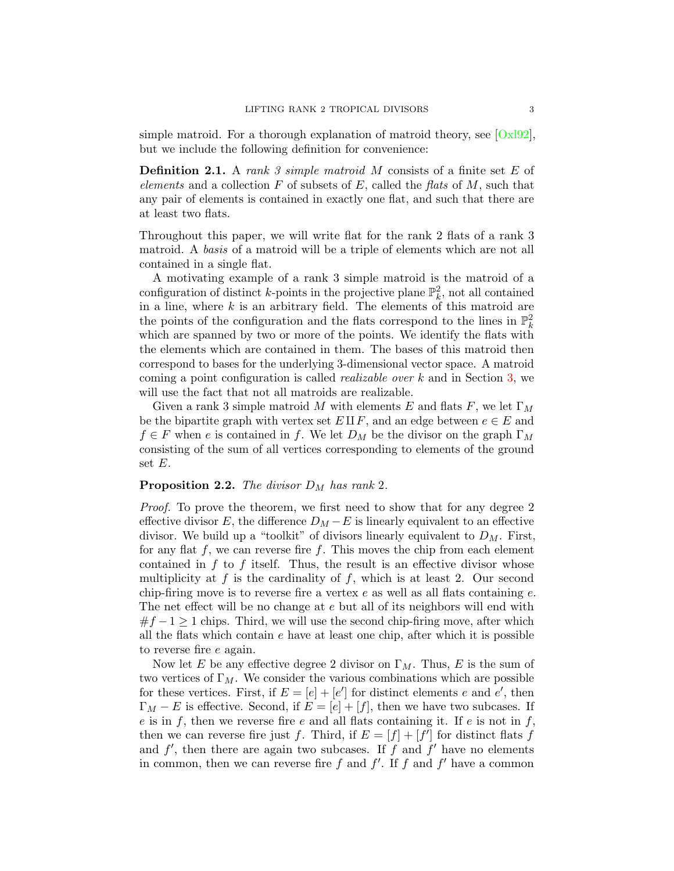simple matroid. For a thorough explanation of matroid theory, see  $\lfloor \frac{Ox}{92} \rfloor$ , but we include the following definition for convenience:

**Definition 2.1.** A rank 3 simple matroid M consists of a finite set E of elements and a collection F of subsets of E, called the flats of M, such that any pair of elements is contained in exactly one flat, and such that there are at least two flats.

Throughout this paper, we will write flat for the rank 2 flats of a rank 3 matroid. A basis of a matroid will be a triple of elements which are not all contained in a single flat.

A motivating example of a rank 3 simple matroid is the matroid of a configuration of distinct k-points in the projective plane  $\mathbb{P}^2_k$ , not all contained in a line, where  $k$  is an arbitrary field. The elements of this matroid are the points of the configuration and the flats correspond to the lines in  $\mathbb{P}_k^2$ which are spanned by two or more of the points. We identify the flats with the elements which are contained in them. The bases of this matroid then correspond to bases for the underlying 3-dimensional vector space. A matroid coming a point configuration is called *realizable over*  $k$  and in Section [3,](#page-6-0) we will use the fact that not all matroids are realizable.

Given a rank 3 simple matroid M with elements E and flats F, we let  $\Gamma_M$ be the bipartite graph with vertex set  $E \amalg F$ , and an edge between  $e \in E$  and  $f \in F$  when e is contained in f. We let  $D_M$  be the divisor on the graph  $\Gamma_M$ consisting of the sum of all vertices corresponding to elements of the ground set  $E$ .

## <span id="page-2-0"></span>**Proposition 2.2.** The divisor  $D_M$  has rank 2.

Proof. To prove the theorem, we first need to show that for any degree 2 effective divisor E, the difference  $D_M - E$  is linearly equivalent to an effective divisor. We build up a "toolkit" of divisors linearly equivalent to  $D_M$ . First, for any flat  $f$ , we can reverse fire  $f$ . This moves the chip from each element contained in  $f$  to  $f$  itself. Thus, the result is an effective divisor whose multiplicity at  $f$  is the cardinality of  $f$ , which is at least 2. Our second chip-firing move is to reverse fire a vertex  $e$  as well as all flats containing  $e$ . The net effect will be no change at e but all of its neighbors will end with  $#f-1 \geq 1$  chips. Third, we will use the second chip-firing move, after which all the flats which contain  $e$  have at least one chip, after which it is possible to reverse fire e again.

Now let E be any effective degree 2 divisor on  $\Gamma_M$ . Thus, E is the sum of two vertices of  $\Gamma_M$ . We consider the various combinations which are possible for these vertices. First, if  $E = [e] + [e']$  for distinct elements e and e', then  $\Gamma_M - E$  is effective. Second, if  $E = [e] + [f]$ , then we have two subcases. If e is in f, then we reverse fire e and all flats containing it. If e is not in f, then we can reverse fire just f. Third, if  $E = [f] + [f']$  for distinct flats f and  $f'$ , then there are again two subcases. If f and  $f'$  have no elements in common, then we can reverse fire f and  $f'$ . If f and  $f'$  have a common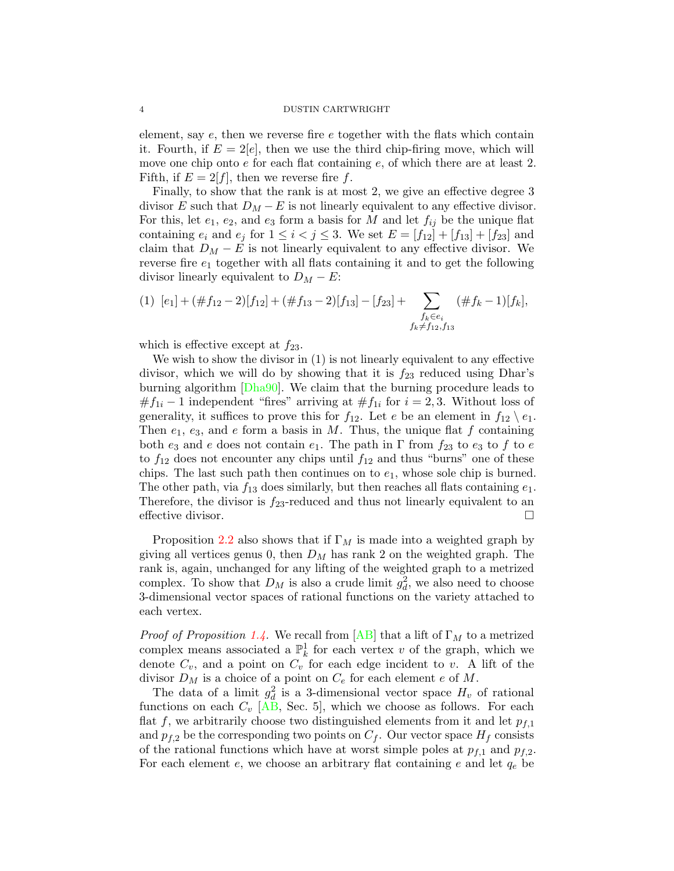element, say e, then we reverse fire e together with the flats which contain it. Fourth, if  $E = 2[e]$ , then we use the third chip-firing move, which will move one chip onto  $e$  for each flat containing  $e$ , of which there are at least 2. Fifth, if  $E = 2[f]$ , then we reverse fire f.

Finally, to show that the rank is at most 2, we give an effective degree 3 divisor E such that  $D_M - E$  is not linearly equivalent to any effective divisor. For this, let  $e_1, e_2$ , and  $e_3$  form a basis for M and let  $f_{ij}$  be the unique flat containing  $e_i$  and  $e_j$  for  $1 \le i < j \le 3$ . We set  $E = [f_{12}] + [f_{13}] + [f_{23}]$  and claim that  $D_M - E$  is not linearly equivalent to any effective divisor. We reverse fire  $e_1$  together with all flats containing it and to get the following divisor linearly equivalent to  $D_M - E$ :

$$
(1) [e1] + (\#f12 - 2)[f12] + (\#f13 - 2)[f13] - [f23] + \sum_{\substack{f_k \in e_i \\ f_k \neq f_{12}, f_{13}}} (\#f_k - 1)[f_k],
$$

which is effective except at  $f_{23}$ .

We wish to show the divisor in (1) is not linearly equivalent to any effective divisor, which we will do by showing that it is  $f_{23}$  reduced using Dhar's burning algorithm [\[Dha90\]](#page-14-8). We claim that the burning procedure leads to  $#f_{1i} - 1$  independent "fires" arriving at  $#f_{1i}$  for  $i = 2, 3$ . Without loss of generality, it suffices to prove this for  $f_{12}$ . Let e be an element in  $f_{12} \setminus e_1$ . Then  $e_1, e_3$ , and e form a basis in M. Thus, the unique flat f containing both  $e_3$  and e does not contain  $e_1$ . The path in  $\Gamma$  from  $f_{23}$  to  $e_3$  to f to e to  $f_{12}$  does not encounter any chips until  $f_{12}$  and thus "burns" one of these chips. The last such path then continues on to  $e_1$ , whose sole chip is burned. The other path, via  $f_{13}$  does similarly, but then reaches all flats containing  $e_1$ . Therefore, the divisor is  $f_{23}$ -reduced and thus not linearly equivalent to an effective divisor.

Proposition [2.2](#page-2-0) also shows that if  $\Gamma_M$  is made into a weighted graph by giving all vertices genus 0, then  $D_M$  has rank 2 on the weighted graph. The rank is, again, unchanged for any lifting of the weighted graph to a metrized complex. To show that  $D_M$  is also a crude limit  $g_d^2$ , we also need to choose 3-dimensional vector spaces of rational functions on the variety attached to each vertex.

*Proof of Proposition [1.4.](#page-1-1)* We recall from  $[AB]$  that a lift of  $\Gamma_M$  to a metrized complex means associated a  $\mathbb{P}_k^1$  for each vertex v of the graph, which we denote  $C_v$ , and a point on  $C_v$  for each edge incident to v. A lift of the divisor  $D_M$  is a choice of a point on  $C_e$  for each element e of M.

The data of a limit  $g_d^2$  is a 3-dimensional vector space  $H_v$  of rational functions on each  $C_v$  [\[AB,](#page-14-2) Sec. 5], which we choose as follows. For each flat f, we arbitrarily choose two distinguished elements from it and let  $p_{f,1}$ and  $p_{f,2}$  be the corresponding two points on  $C_f$ . Our vector space  $H_f$  consists of the rational functions which have at worst simple poles at  $p_{f,1}$  and  $p_{f,2}$ . For each element  $e$ , we choose an arbitrary flat containing  $e$  and let  $q_e$  be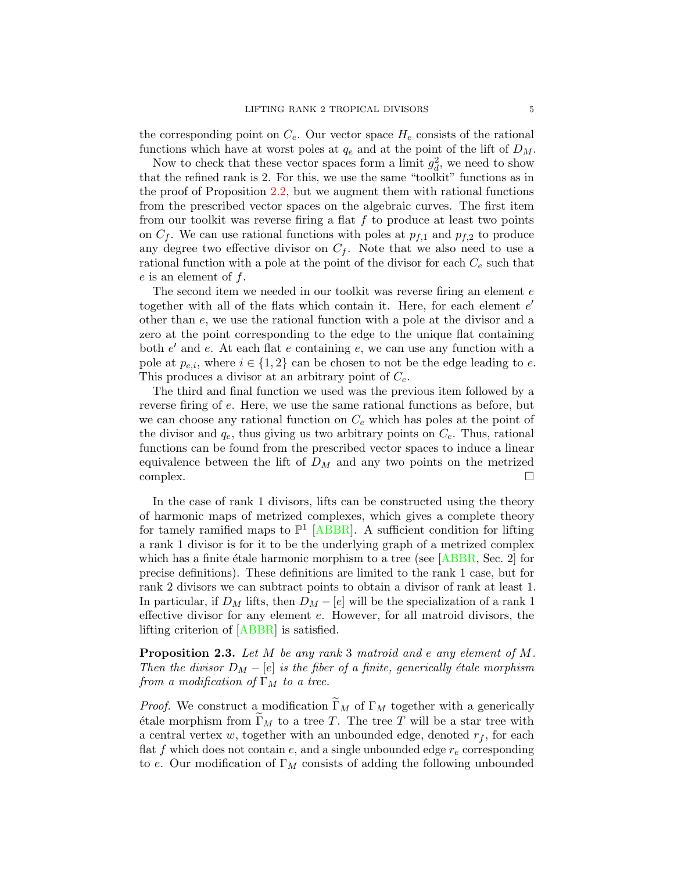the corresponding point on  $C_e$ . Our vector space  $H_e$  consists of the rational functions which have at worst poles at  $q_e$  and at the point of the lift of  $D_M$ .

Now to check that these vector spaces form a limit  $g_d^2$ , we need to show that the refined rank is 2. For this, we use the same "toolkit" functions as in the proof of Proposition [2.2,](#page-2-0) but we augment them with rational functions from the prescribed vector spaces on the algebraic curves. The first item from our toolkit was reverse firing a flat  $f$  to produce at least two points on  $C_f$ . We can use rational functions with poles at  $p_{f,1}$  and  $p_{f,2}$  to produce any degree two effective divisor on  $C_f$ . Note that we also need to use a rational function with a pole at the point of the divisor for each  $C_e$  such that  $e$  is an element of  $f$ .

The second item we needed in our toolkit was reverse firing an element e together with all of the flats which contain it. Here, for each element  $e'$ other than e, we use the rational function with a pole at the divisor and a zero at the point corresponding to the edge to the unique flat containing both  $e'$  and  $e$ . At each flat  $e$  containing  $e$ , we can use any function with a pole at  $p_{e,i}$ , where  $i \in \{1,2\}$  can be chosen to not be the edge leading to e. This produces a divisor at an arbitrary point of  $C_e$ .

The third and final function we used was the previous item followed by a reverse firing of e. Here, we use the same rational functions as before, but we can choose any rational function on  $C_e$  which has poles at the point of the divisor and  $q_e$ , thus giving us two arbitrary points on  $C_e$ . Thus, rational functions can be found from the prescribed vector spaces to induce a linear equivalence between the lift of  $D_M$  and any two points on the metrized  $\Box$ complex.  $\Box$ 

In the case of rank 1 divisors, lifts can be constructed using the theory of harmonic maps of metrized complexes, which gives a complete theory for tamely ramified maps to  $\mathbb{P}^1$  [\[ABBR\]](#page-14-9). A sufficient condition for lifting a rank 1 divisor is for it to be the underlying graph of a metrized complex which has a finite étale harmonic morphism to a tree (see  $[ABBR, Sec. 2]$  for precise definitions). These definitions are limited to the rank 1 case, but for rank 2 divisors we can subtract points to obtain a divisor of rank at least 1. In particular, if  $D_M$  lifts, then  $D_M - [e]$  will be the specialization of a rank 1 effective divisor for any element e. However, for all matroid divisors, the lifting criterion of [\[ABBR\]](#page-14-9) is satisfied.

Proposition 2.3. Let M be any rank 3 matroid and e any element of M. Then the divisor  $D_M - [e]$  is the fiber of a finite, generically étale morphism from a modification of  $\Gamma_M$  to a tree.

*Proof.* We construct a modification  $\widetilde{\Gamma}_M$  of  $\Gamma_M$  together with a generically étale morphism from  $\Gamma_M$  to a tree T. The tree T will be a star tree with a central vertex w, together with an unbounded edge, denoted  $r_f$ , for each flat f which does not contain  $e$ , and a single unbounded edge  $r_e$  corresponding to e. Our modification of  $\Gamma_M$  consists of adding the following unbounded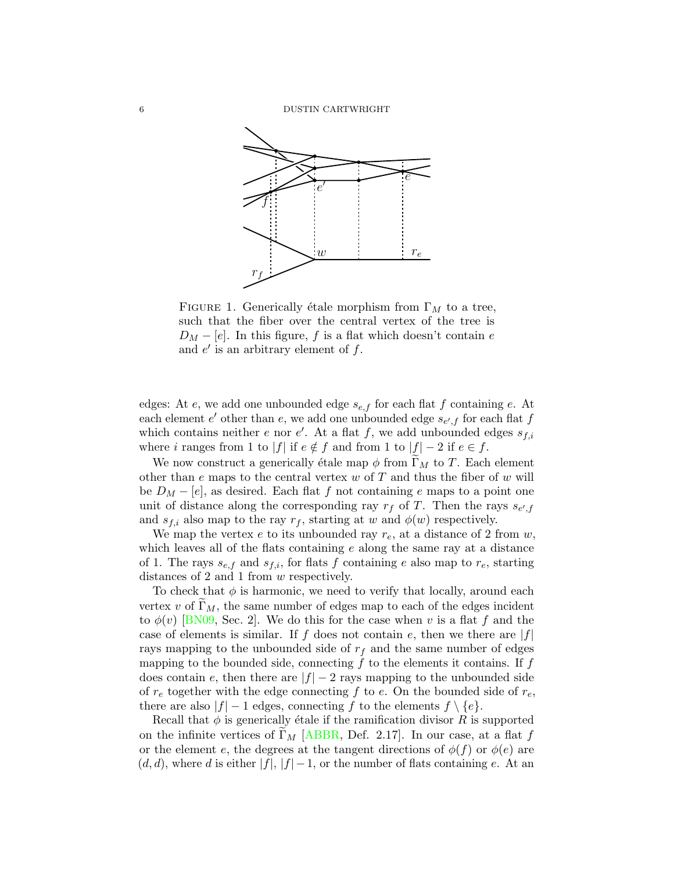

FIGURE 1. Generically étale morphism from  $\Gamma_M$  to a tree, such that the fiber over the central vertex of the tree is  $D_M - [e]$ . In this figure, f is a flat which doesn't contain e and  $e'$  is an arbitrary element of  $f$ .

edges: At  $e$ , we add one unbounded edge  $s_{e,f}$  for each flat f containing  $e$ . At each element  $e'$  other than  $e$ , we add one unbounded edge  $s_{e',f}$  for each flat  $f$ which contains neither e nor e'. At a flat f, we add unbounded edges  $s_{f,i}$ where i ranges from 1 to  $|f|$  if  $e \notin f$  and from 1 to  $|f| - 2$  if  $e \in f$ .

We now construct a generically étale map  $\phi$  from  $\Gamma_M$  to T. Each element other than  $e$  maps to the central vertex  $w$  of  $T$  and thus the fiber of  $w$  will be  $D_M - [e]$ , as desired. Each flat f not containing e maps to a point one unit of distance along the corresponding ray  $r_f$  of T. Then the rays  $s_{e',f}$ and  $s_{f,i}$  also map to the ray  $r_f$ , starting at w and  $\phi(w)$  respectively.

We map the vertex  $e$  to its unbounded ray  $r_e$ , at a distance of 2 from  $w$ , which leaves all of the flats containing  $e$  along the same ray at a distance of 1. The rays  $s_{e,f}$  and  $s_{f,i}$ , for flats f containing e also map to  $r_e$ , starting distances of 2 and 1 from w respectively.

To check that  $\phi$  is harmonic, we need to verify that locally, around each vertex v of  $\Gamma_M$ , the same number of edges map to each of the edges incident to  $\phi(v)$  [\[BN09,](#page-14-10) Sec. 2]. We do this for the case when v is a flat f and the case of elements is similar. If f does not contain e, then we there are  $|f|$ rays mapping to the unbounded side of  $r_f$  and the same number of edges mapping to the bounded side, connecting  $f$  to the elements it contains. If  $f$ does contain e, then there are  $|f| - 2$  rays mapping to the unbounded side of  $r_e$  together with the edge connecting f to e. On the bounded side of  $r_e$ , there are also  $|f| - 1$  edges, connecting f to the elements  $f \setminus \{e\}.$ 

Recall that  $\phi$  is generically étale if the ramification divisor R is supported on the infinite vertices of  $\Gamma_M$  [\[ABBR,](#page-14-9) Def. 2.17]. In our case, at a flat f or the element e, the degrees at the tangent directions of  $\phi(f)$  or  $\phi(e)$  are  $(d, d)$ , where d is either  $|f|, |f| - 1$ , or the number of flats containing e. At an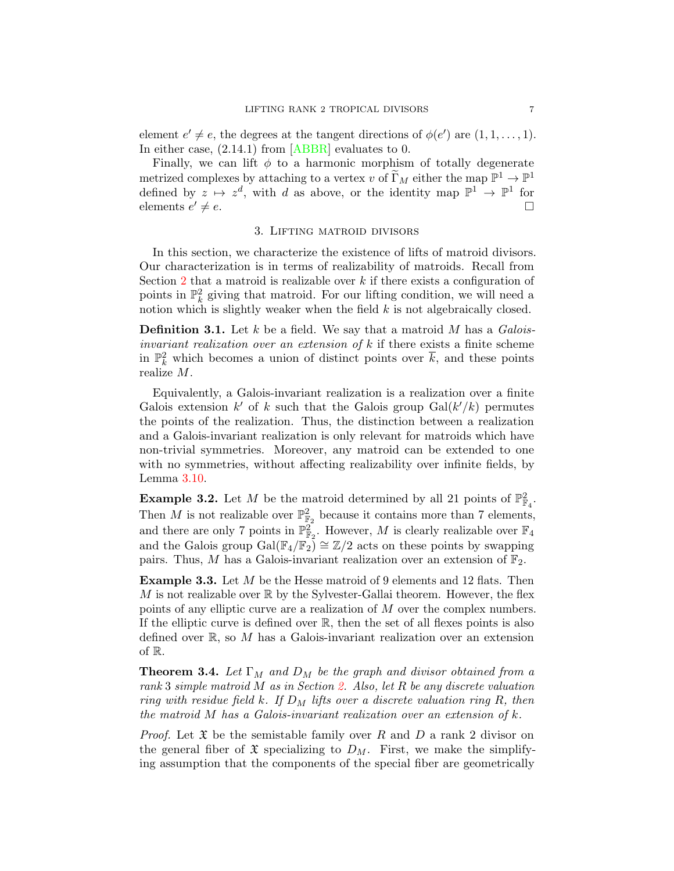element  $e' \neq e$ , the degrees at the tangent directions of  $\phi(e')$  are  $(1, 1, \ldots, 1)$ . In either case,  $(2.14.1)$  from [\[ABBR\]](#page-14-9) evaluates to 0.

Finally, we can lift  $\phi$  to a harmonic morphism of totally degenerate metrized complexes by attaching to a vertex v of  $\widetilde{\Gamma}_M$  either the map  $\mathbb{P}^1 \to \mathbb{P}^1$ defined by  $z \mapsto z^d$ , with d as above, or the identity map  $\mathbb{P}^1 \to \mathbb{P}^1$  for elements  $e' \neq e$ .  $\ell \neq e.$ 

# 3. Lifting matroid divisors

<span id="page-6-0"></span>In this section, we characterize the existence of lifts of matroid divisors. Our characterization is in terms of realizability of matroids. Recall from Section [2](#page-1-2) that a matroid is realizable over  $k$  if there exists a configuration of points in  $\mathbb{P}^2_k$  giving that matroid. For our lifting condition, we will need a notion which is slightly weaker when the field  $k$  is not algebraically closed.

**Definition 3.1.** Let k be a field. We say that a matroid M has a  $Galois$ invariant realization over an extension of  $k$  if there exists a finite scheme in  $\mathbb{P}_k^2$  which becomes a union of distinct points over  $\overline{k}$ , and these points realize M.

Equivalently, a Galois-invariant realization is a realization over a finite Galois extension  $k'$  of k such that the Galois group  $Gal(k'/k)$  permutes the points of the realization. Thus, the distinction between a realization and a Galois-invariant realization is only relevant for matroids which have non-trivial symmetries. Moreover, any matroid can be extended to one with no symmetries, without affecting realizability over infinite fields, by Lemma [3.10.](#page-11-0)

**Example 3.2.** Let M be the matroid determined by all 21 points of  $\mathbb{P}^2_{\mathbb{F}_4}$ . Then M is not realizable over  $\mathbb{P}^2_{\mathbb{F}_2}$  because it contains more than 7 elements, and there are only 7 points in  $\mathbb{P}^2_{\mathbb{F}_2}$ . However, M is clearly realizable over  $\mathbb{F}_4$ and the Galois group Gal( $\mathbb{F}_4/\mathbb{F}_2$ ) ≅  $\mathbb{Z}/2$  acts on these points by swapping pairs. Thus, M has a Galois-invariant realization over an extension of  $\mathbb{F}_2$ .

Example 3.3. Let M be the Hesse matroid of 9 elements and 12 flats. Then M is not realizable over  $\mathbb R$  by the Sylvester-Gallai theorem. However, the flex points of any elliptic curve are a realization of M over the complex numbers. If the elliptic curve is defined over  $\mathbb{R}$ , then the set of all flexes points is also defined over  $\mathbb{R}$ , so M has a Galois-invariant realization over an extension of R.

<span id="page-6-1"></span>**Theorem 3.4.** Let  $\Gamma_M$  and  $D_M$  be the graph and divisor obtained from a rank 3 simple matroid M as in Section [2.](#page-1-2) Also, let R be any discrete valuation ring with residue field k. If  $D_M$  lifts over a discrete valuation ring R, then the matroid M has a Galois-invariant realization over an extension of  $k$ .

*Proof.* Let  $\mathfrak X$  be the semistable family over R and D a rank 2 divisor on the general fiber of  $\mathfrak X$  specializing to  $D_M$ . First, we make the simplifying assumption that the components of the special fiber are geometrically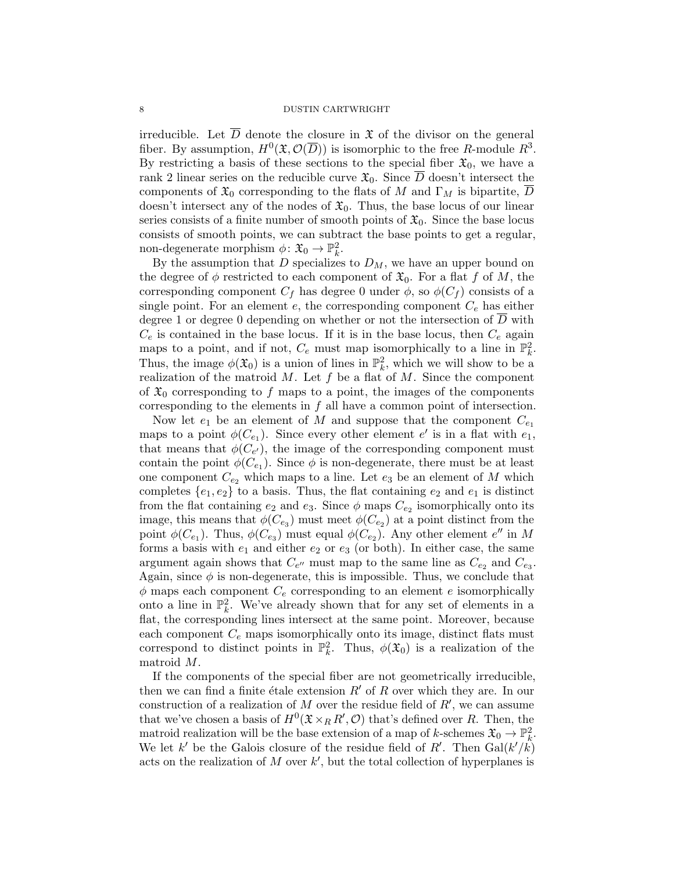irreducible. Let  $\overline{D}$  denote the closure in  $\mathfrak X$  of the divisor on the general fiber. By assumption,  $H^0(\mathfrak{X},\mathcal{O}(\overline{D}))$  is isomorphic to the free R-module  $R^3$ . By restricting a basis of these sections to the special fiber  $\mathfrak{X}_0$ , we have a rank 2 linear series on the reducible curve  $\mathfrak{X}_0$ . Since  $\overline{D}$  doesn't intersect the components of  $\mathfrak{X}_0$  corresponding to the flats of M and  $\Gamma_M$  is bipartite, D doesn't intersect any of the nodes of  $\mathfrak{X}_0$ . Thus, the base locus of our linear series consists of a finite number of smooth points of  $\mathfrak{X}_0$ . Since the base locus consists of smooth points, we can subtract the base points to get a regular, non-degenerate morphism  $\phi \colon \mathfrak{X}_0 \to \mathbb{P}^2_k$ .

By the assumption that  $D$  specializes to  $D_M$ , we have an upper bound on the degree of  $\phi$  restricted to each component of  $\mathfrak{X}_0$ . For a flat f of M, the corresponding component  $C_f$  has degree 0 under  $\phi$ , so  $\phi(C_f)$  consists of a single point. For an element  $e$ , the corresponding component  $C_e$  has either degree 1 or degree 0 depending on whether or not the intersection of D with  $C_e$  is contained in the base locus. If it is in the base locus, then  $C_e$  again maps to a point, and if not,  $C_e$  must map isomorphically to a line in  $\mathbb{P}_k^2$ . Thus, the image  $\phi(\mathfrak{X}_0)$  is a union of lines in  $\mathbb{P}_k^2$ , which we will show to be a realization of the matroid  $M$ . Let  $f$  be a flat of  $M$ . Since the component of  $\mathfrak{X}_0$  corresponding to f maps to a point, the images of the components corresponding to the elements in f all have a common point of intersection.

Now let  $e_1$  be an element of M and suppose that the component  $C_{e_1}$ maps to a point  $\phi(C_{e_1})$ . Since every other element  $e'$  is in a flat with  $e_1$ , that means that  $\phi(C_{e'})$ , the image of the corresponding component must contain the point  $\phi(C_{e_1})$ . Since  $\phi$  is non-degenerate, there must be at least one component  $C_{e_2}$  which maps to a line. Let  $e_3$  be an element of M which completes  $\{e_1, e_2\}$  to a basis. Thus, the flat containing  $e_2$  and  $e_1$  is distinct from the flat containing  $e_2$  and  $e_3$ . Since  $\phi$  maps  $C_{e_2}$  isomorphically onto its image, this means that  $\phi(C_{e_3})$  must meet  $\phi(C_{e_2})$  at a point distinct from the point  $\phi(C_{e_1})$ . Thus,  $\phi(C_{e_3})$  must equal  $\phi(C_{e_2})$ . Any other element  $e''$  in M forms a basis with  $e_1$  and either  $e_2$  or  $e_3$  (or both). In either case, the same argument again shows that  $C_{e''}$  must map to the same line as  $C_{e_2}$  and  $C_{e_3}$ . Again, since  $\phi$  is non-degenerate, this is impossible. Thus, we conclude that  $\phi$  maps each component  $C_e$  corresponding to an element e isomorphically onto a line in  $\mathbb{P}_k^2$ . We've already shown that for any set of elements in a flat, the corresponding lines intersect at the same point. Moreover, because each component  $C_e$  maps isomorphically onto its image, distinct flats must correspond to distinct points in  $\mathbb{P}_k^2$ . Thus,  $\phi(\mathfrak{X}_0)$  is a realization of the matroid M.

If the components of the special fiber are not geometrically irreducible, then we can find a finite étale extension  $R'$  of R over which they are. In our construction of a realization of M over the residue field of  $R'$ , we can assume that we've chosen a basis of  $H^0(\mathfrak{X}\times_R R',\mathcal{O})$  that's defined over R. Then, the matroid realization will be the base extension of a map of k-schemes  $\mathfrak{X}_0 \to \mathbb{P}^2_k$ . We let k' be the Galois closure of the residue field of R'. Then  $Gal(k'/k)$ acts on the realization of M over  $k'$ , but the total collection of hyperplanes is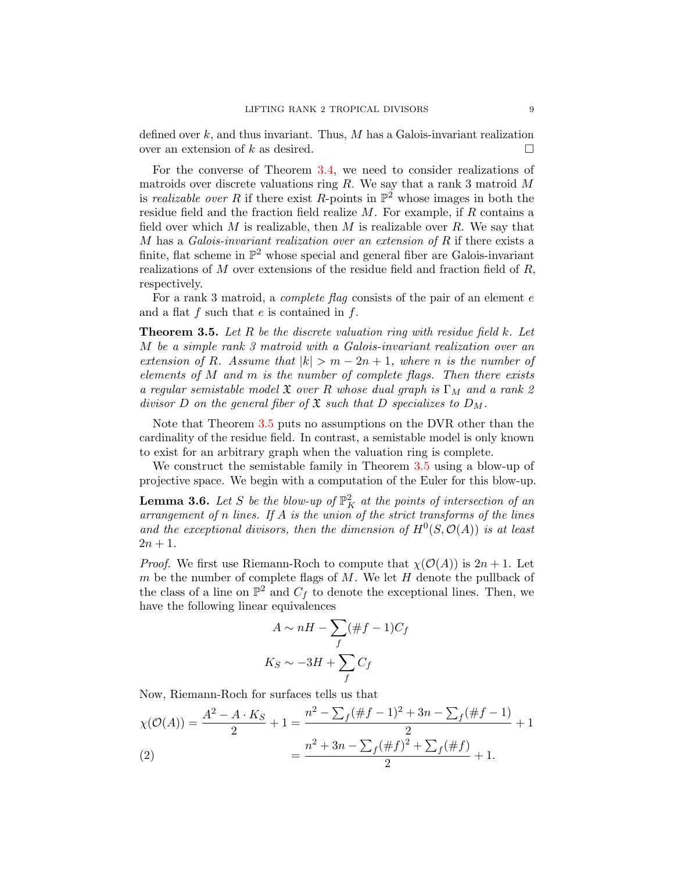defined over  $k$ , and thus invariant. Thus,  $M$  has a Galois-invariant realization over an extension of k as desired.  $\square$ 

For the converse of Theorem [3.4,](#page-6-1) we need to consider realizations of matroids over discrete valuations ring  $R$ . We say that a rank 3 matroid  $M$ is realizable over R if there exist R-points in  $\mathbb{P}^2$  whose images in both the residue field and the fraction field realize  $M$ . For example, if  $R$  contains a field over which M is realizable, then M is realizable over R. We say that  $M$  has a Galois-invariant realization over an extension of  $R$  if there exists a finite, flat scheme in  $\mathbb{P}^2$  whose special and general fiber are Galois-invariant realizations of  $M$  over extensions of the residue field and fraction field of  $R$ , respectively.

For a rank 3 matroid, a *complete flag* consists of the pair of an element e and a flat  $f$  such that  $e$  is contained in  $f$ .

<span id="page-8-0"></span>**Theorem 3.5.** Let R be the discrete valuation ring with residue field k. Let M be a simple rank 3 matroid with a Galois-invariant realization over an extension of R. Assume that  $|k| > m - 2n + 1$ , where n is the number of elements of  $M$  and  $m$  is the number of complete flags. Then there exists a regular semistable model  $\mathfrak X$  over R whose dual graph is  $\Gamma_M$  and a rank 2 divisor D on the general fiber of  $\mathfrak X$  such that D specializes to  $D_M$ .

Note that Theorem [3.5](#page-8-0) puts no assumptions on the DVR other than the cardinality of the residue field. In contrast, a semistable model is only known to exist for an arbitrary graph when the valuation ring is complete.

We construct the semistable family in Theorem [3.5](#page-8-0) using a blow-up of projective space. We begin with a computation of the Euler for this blow-up.

<span id="page-8-2"></span>**Lemma 3.6.** Let S be the blow-up of  $\mathbb{P}^2$  at the points of intersection of an arrangement of n lines. If  $A$  is the union of the strict transforms of the lines and the exceptional divisors, then the dimension of  $H^0(S, \mathcal{O}(A))$  is at least  $2n + 1$ .

*Proof.* We first use Riemann-Roch to compute that  $\chi(\mathcal{O}(A))$  is  $2n + 1$ . Let m be the number of complete flags of  $M$ . We let  $H$  denote the pullback of the class of a line on  $\mathbb{P}^2$  and  $C_f$  to denote the exceptional lines. Then, we have the following linear equivalences

$$
A \sim nH - \sum_{f} (\#f - 1)C_f
$$
  

$$
K_S \sim -3H + \sum_{f} C_f
$$

Now, Riemann-Roch for surfaces tells us that

<span id="page-8-1"></span>
$$
\chi(\mathcal{O}(A)) = \frac{A^2 - A \cdot K_S}{2} + 1 = \frac{n^2 - \sum_f (\#f - 1)^2 + 3n - \sum_f (\#f - 1)}{2} + 1
$$
  
(2)
$$
= \frac{n^2 + 3n - \sum_f (\#f)^2 + \sum_f (\#f)}{2} + 1.
$$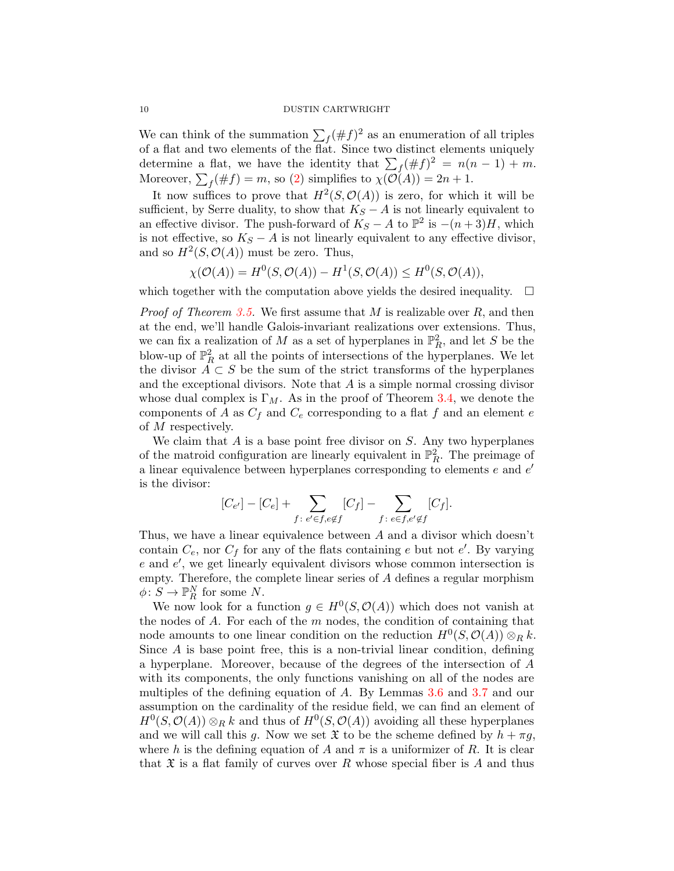We can think of the summation  $\sum_f (\# f)^2$  as an enumeration of all triples of a flat and two elements of the flat. Since two distinct elements uniquely determine a flat, we have the identity that  $\sum_{f}(\# f)^2 = n(n-1) + m$ . Moreover,  $\sum_{f}(\# f) = m$ , so [\(2\)](#page-8-1) simplifies to  $\chi(\mathcal{O}(A)) = 2n + 1$ .

It now suffices to prove that  $H^2(S, \mathcal{O}(A))$  is zero, for which it will be sufficient, by Serre duality, to show that  $K_S - A$  is not linearly equivalent to an effective divisor. The push-forward of  $K_S - A$  to  $\mathbb{P}^2$  is  $-(n+3)H$ , which is not effective, so  $K_S - A$  is not linearly equivalent to any effective divisor, and so  $H^2(S, \mathcal{O}(A))$  must be zero. Thus,

$$
\chi(\mathcal{O}(A)) = H^0(S, \mathcal{O}(A)) - H^1(S, \mathcal{O}(A)) \le H^0(S, \mathcal{O}(A)),
$$

which together with the computation above yields the desired inequality.  $\Box$ 

*Proof of Theorem [3.5.](#page-8-0)* We first assume that M is realizable over  $R$ , and then at the end, we'll handle Galois-invariant realizations over extensions. Thus, we can fix a realization of M as a set of hyperplanes in  $\mathbb{P}^2_R$ , and let S be the blow-up of  $\mathbb{P}^2_R$  at all the points of intersections of the hyperplanes. We let the divisor  $A \subset S$  be the sum of the strict transforms of the hyperplanes and the exceptional divisors. Note that  $A$  is a simple normal crossing divisor whose dual complex is  $\Gamma_M$ . As in the proof of Theorem [3.4,](#page-6-1) we denote the components of A as  $C_f$  and  $C_e$  corresponding to a flat f and an element e of M respectively.

We claim that  $A$  is a base point free divisor on  $S$ . Any two hyperplanes of the matroid configuration are linearly equivalent in  $\mathbb{P}^2_R$ . The preimage of a linear equivalence between hyperplanes corresponding to elements  $e$  and  $e'$ is the divisor:

$$
[C_{e'}] - [C_e] + \sum_{f \colon e' \in f, e \notin f} [C_f] - \sum_{f \colon e \in f, e' \notin f} [C_f].
$$

Thus, we have a linear equivalence between A and a divisor which doesn't contain  $C_e$ , nor  $C_f$  for any of the flats containing e but not e'. By varying  $e$  and  $e'$ , we get linearly equivalent divisors whose common intersection is empty. Therefore, the complete linear series of A defines a regular morphism  $\phi: S \to \mathbb{P}^N_R$  for some N.

We now look for a function  $g \in H^0(S, \mathcal{O}(A))$  which does not vanish at the nodes of  $A$ . For each of the  $m$  nodes, the condition of containing that node amounts to one linear condition on the reduction  $H^0(S, \mathcal{O}(A)) \otimes_R k$ . Since  $A$  is base point free, this is a non-trivial linear condition, defining a hyperplane. Moreover, because of the degrees of the intersection of A with its components, the only functions vanishing on all of the nodes are multiples of the defining equation of A. By Lemmas [3.6](#page-8-2) and [3.7](#page-10-0) and our assumption on the cardinality of the residue field, we can find an element of  $H^0(S, \mathcal{O}(A)) \otimes_R k$  and thus of  $H^0(S, \mathcal{O}(A))$  avoiding all these hyperplanes and we will call this g. Now we set  $\mathfrak X$  to be the scheme defined by  $h + \pi g$ , where h is the defining equation of A and  $\pi$  is a uniformizer of R. It is clear that  $\mathfrak X$  is a flat family of curves over R whose special fiber is A and thus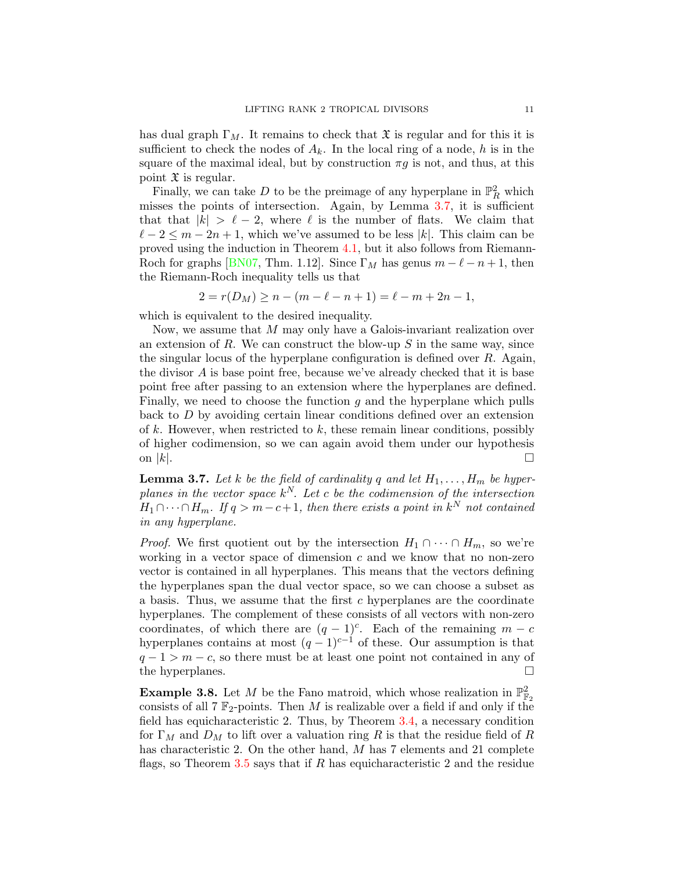has dual graph  $\Gamma_M$ . It remains to check that  $\mathfrak X$  is regular and for this it is sufficient to check the nodes of  $A_k$ . In the local ring of a node, h is in the square of the maximal ideal, but by construction  $\pi g$  is not, and thus, at this point  $\mathfrak X$  is regular.

Finally, we can take  $D$  to be the preimage of any hyperplane in  $\mathbb{P}^2_R$  which misses the points of intersection. Again, by Lemma [3.7,](#page-10-0) it is sufficient that that  $|k| > \ell - 2$ , where  $\ell$  is the number of flats. We claim that  $\ell - 2 \leq m - 2n + 1$ , which we've assumed to be less |k|. This claim can be proved using the induction in Theorem [4.1,](#page-12-0) but it also follows from Riemann-Roch for graphs [\[BN07,](#page-14-11) Thm. 1.12]. Since  $\Gamma_M$  has genus  $m - \ell - n + 1$ , then the Riemann-Roch inequality tells us that

$$
2 = r(D_M) \ge n - (m - \ell - n + 1) = \ell - m + 2n - 1,
$$

which is equivalent to the desired inequality.

Now, we assume that M may only have a Galois-invariant realization over an extension of R. We can construct the blow-up  $S$  in the same way, since the singular locus of the hyperplane configuration is defined over  $R$ . Again, the divisor A is base point free, because we've already checked that it is base point free after passing to an extension where the hyperplanes are defined. Finally, we need to choose the function  $g$  and the hyperplane which pulls back to D by avoiding certain linear conditions defined over an extension of k. However, when restricted to  $k$ , these remain linear conditions, possibly of higher codimension, so we can again avoid them under our hypothesis on  $|k|$ .

<span id="page-10-0"></span>**Lemma 3.7.** Let k be the field of cardinality q and let  $H_1, \ldots, H_m$  be hyperplanes in the vector space  $k^N$ . Let c be the codimension of the intersection  $H_1 \cap \cdots \cap H_m$ . If  $q > m - c + 1$ , then there exists a point in  $k^N$  not contained in any hyperplane.

*Proof.* We first quotient out by the intersection  $H_1 \cap \cdots \cap H_m$ , so we're working in a vector space of dimension  $c$  and we know that no non-zero vector is contained in all hyperplanes. This means that the vectors defining the hyperplanes span the dual vector space, so we can choose a subset as a basis. Thus, we assume that the first c hyperplanes are the coordinate hyperplanes. The complement of these consists of all vectors with non-zero coordinates, of which there are  $(q-1)^c$ . Each of the remaining  $m - c$ hyperplanes contains at most  $(q-1)^{c-1}$  of these. Our assumption is that  $q - 1 > m - c$ , so there must be at least one point not contained in any of the hyperplanes.  $\Box$ 

**Example 3.8.** Let M be the Fano matroid, which whose realization in  $\mathbb{P}^2_{\mathbb{F}_2}$ consists of all  $7 \mathbb{F}_2$ -points. Then M is realizable over a field if and only if the field has equicharacteristic 2. Thus, by Theorem [3.4,](#page-6-1) a necessary condition for  $\Gamma_M$  and  $D_M$  to lift over a valuation ring R is that the residue field of R has characteristic 2. On the other hand, M has 7 elements and 21 complete flags, so Theorem [3.5](#page-8-0) says that if  $R$  has equicharacteristic 2 and the residue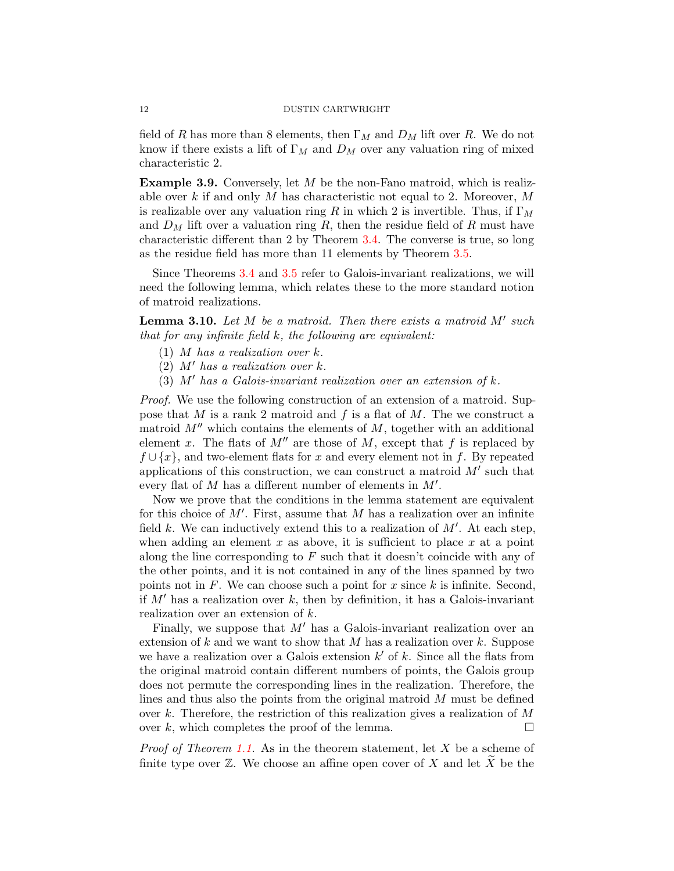field of R has more than 8 elements, then  $\Gamma_M$  and  $D_M$  lift over R. We do not know if there exists a lift of  $\Gamma_M$  and  $D_M$  over any valuation ring of mixed characteristic 2.

**Example 3.9.** Conversely, let  $M$  be the non-Fano matroid, which is realizable over k if and only M has characteristic not equal to 2. Moreover,  $M$ is realizable over any valuation ring R in which 2 is invertible. Thus, if  $\Gamma_M$ and  $D_M$  lift over a valuation ring R, then the residue field of R must have characteristic different than 2 by Theorem [3.4.](#page-6-1) The converse is true, so long as the residue field has more than 11 elements by Theorem [3.5.](#page-8-0)

Since Theorems [3.4](#page-6-1) and [3.5](#page-8-0) refer to Galois-invariant realizations, we will need the following lemma, which relates these to the more standard notion of matroid realizations.

<span id="page-11-0"></span>**Lemma 3.10.** Let  $M$  be a matroid. Then there exists a matroid  $M'$  such that for any infinite field  $k$ , the following are equivalent:

- $(1)$  M has a realization over k.
- (2)  $M'$  has a realization over k.
- (3)  $M'$  has a Galois-invariant realization over an extension of k.

Proof. We use the following construction of an extension of a matroid. Suppose that M is a rank 2 matroid and f is a flat of M. The we construct a matroid  $M''$  which contains the elements of  $M$ , together with an additional element x. The flats of  $M''$  are those of M, except that f is replaced by  $f \cup \{x\}$ , and two-element flats for x and every element not in f. By repeated applications of this construction, we can construct a matroid  $M'$  such that every flat of  $M$  has a different number of elements in  $M'$ .

Now we prove that the conditions in the lemma statement are equivalent for this choice of  $M'$ . First, assume that M has a realization over an infinite field k. We can inductively extend this to a realization of  $M'$ . At each step, when adding an element x as above, it is sufficient to place x at a point along the line corresponding to  $F$  such that it doesn't coincide with any of the other points, and it is not contained in any of the lines spanned by two points not in  $F$ . We can choose such a point for  $x$  since  $k$  is infinite. Second, if  $M'$  has a realization over k, then by definition, it has a Galois-invariant realization over an extension of k.

Finally, we suppose that  $M'$  has a Galois-invariant realization over an extension of  $k$  and we want to show that  $M$  has a realization over  $k$ . Suppose we have a realization over a Galois extension  $k'$  of k. Since all the flats from the original matroid contain different numbers of points, the Galois group does not permute the corresponding lines in the realization. Therefore, the lines and thus also the points from the original matroid M must be defined over k. Therefore, the restriction of this realization gives a realization of  $M$ over k, which completes the proof of the lemma.  $\Box$ 

*Proof of Theorem [1.1.](#page-0-0)* As in the theorem statement, let  $X$  be a scheme of finite type over  $\mathbb Z$ . We choose an affine open cover of X and let  $\widetilde{X}$  be the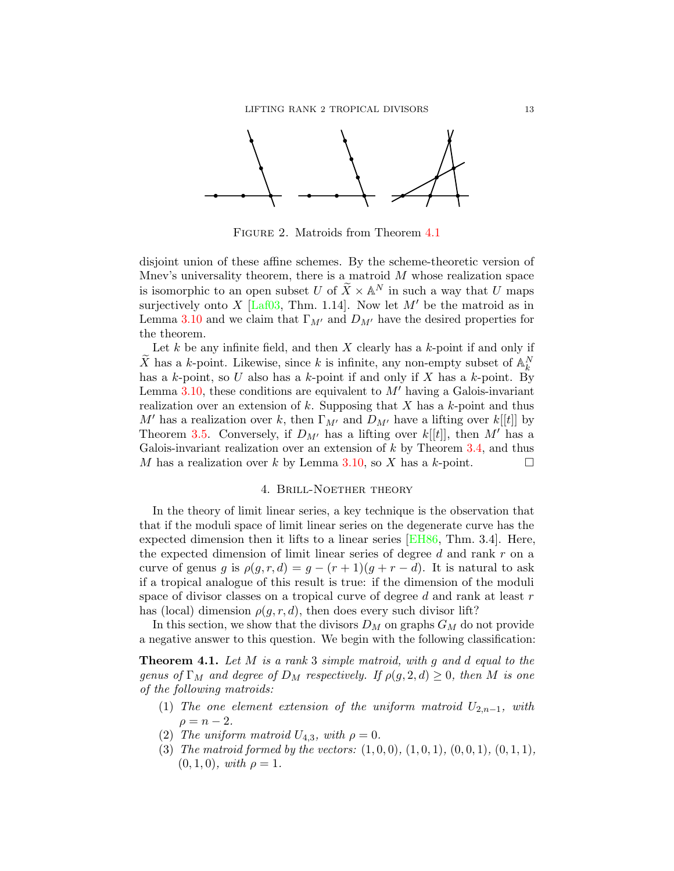

FIGURE 2. Matroids from Theorem [4.1](#page-12-0)

disjoint union of these affine schemes. By the scheme-theoretic version of Mnev's universality theorem, there is a matroid  $M$  whose realization space is isomorphic to an open subset U of  $\widetilde{X} \times \mathbb{A}^N$  in such a way that U maps surjectively onto X [\[Laf03,](#page-14-4) Thm. 1.14]. Now let  $M'$  be the matroid as in Lemma [3.10](#page-11-0) and we claim that  $\Gamma_{M'}$  and  $D_{M'}$  have the desired properties for the theorem.

Let  $k$  be any infinite field, and then  $X$  clearly has a  $k$ -point if and only if  $\widetilde{X}$  has a k-point. Likewise, since k is infinite, any non-empty subset of  $\mathbb{A}_k^N$ has a  $k$ -point, so U also has a  $k$ -point if and only if X has a  $k$ -point. By Lemma [3.10,](#page-11-0) these conditions are equivalent to  $M'$  having a Galois-invariant realization over an extension of k. Supposing that X has a k-point and thus M' has a realization over k, then  $\Gamma_{M'}$  and  $D_{M'}$  have a lifting over  $k[[t]]$  by Theorem [3.5.](#page-8-0) Conversely, if  $D_{M'}$  has a lifting over  $k[[t]]$ , then  $M'$  has a Galois-invariant realization over an extension of  $k$  by Theorem [3.4,](#page-6-1) and thus M has a realization over k by Lemma [3.10,](#page-11-0) so X has a k-point.  $\square$ 

## 4. Brill-Noether theory

In the theory of limit linear series, a key technique is the observation that that if the moduli space of limit linear series on the degenerate curve has the expected dimension then it lifts to a linear series [\[EH86,](#page-14-12) Thm. 3.4]. Here, the expected dimension of limit linear series of degree d and rank r on a curve of genus g is  $\rho(g, r, d) = g - (r + 1)(g + r - d)$ . It is natural to ask if a tropical analogue of this result is true: if the dimension of the moduli space of divisor classes on a tropical curve of degree  $d$  and rank at least  $r$ has (local) dimension  $\rho(g, r, d)$ , then does every such divisor lift?

In this section, we show that the divisors  $D_M$  on graphs  $G_M$  do not provide a negative answer to this question. We begin with the following classification:

<span id="page-12-0"></span>**Theorem 4.1.** Let M is a rank 3 simple matroid, with q and d equal to the genus of  $\Gamma_M$  and degree of  $D_M$  respectively. If  $\rho(g, 2, d) \geq 0$ , then M is one of the following matroids:

- <span id="page-12-1"></span>(1) The one element extension of the uniform matroid  $U_{2,n-1}$ , with  $\rho = n - 2.$
- <span id="page-12-3"></span>(2) The uniform matroid  $U_{4,3}$ , with  $\rho = 0$ .
- <span id="page-12-2"></span>(3) The matroid formed by the vectors:  $(1,0,0)$ ,  $(1,0,1)$ ,  $(0,0,1)$ ,  $(0,1,1)$ ,  $(0, 1, 0), with \rho = 1.$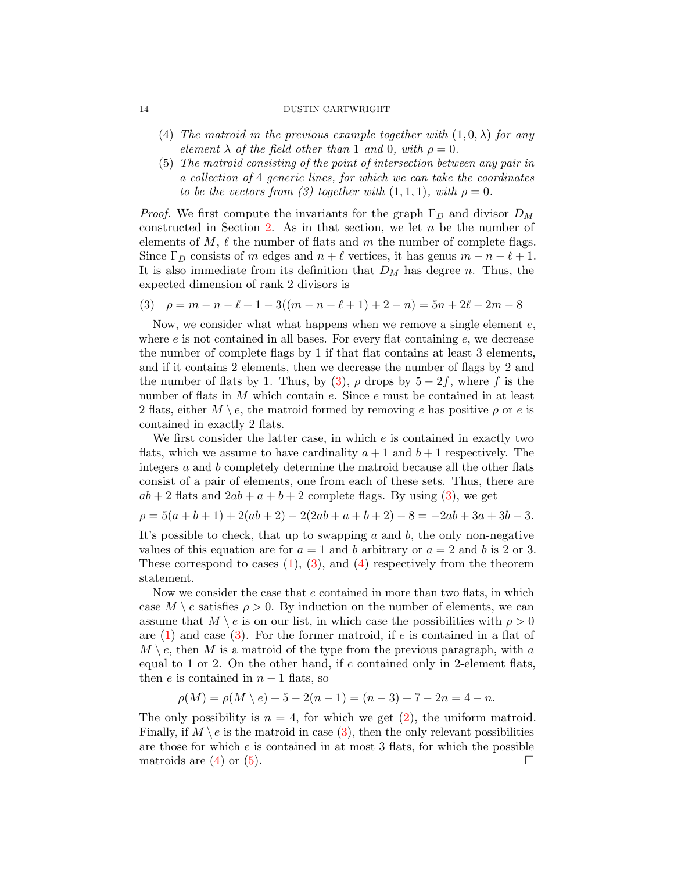- <span id="page-13-1"></span>(4) The matroid in the previous example together with  $(1,0,\lambda)$  for any element  $\lambda$  of the field other than 1 and 0, with  $\rho = 0$ .
- <span id="page-13-2"></span>(5) The matroid consisting of the point of intersection between any pair in a collection of 4 generic lines, for which we can take the coordinates to be the vectors from (3) together with  $(1,1,1)$ , with  $\rho = 0$ .

*Proof.* We first compute the invariants for the graph  $\Gamma_D$  and divisor  $D_M$ constructed in Section [2.](#page-1-2) As in that section, we let  $n$  be the number of elements of  $M, \ell$  the number of flats and m the number of complete flags. Since  $\Gamma_D$  consists of m edges and  $n + \ell$  vertices, it has genus  $m - n - \ell + 1$ . It is also immediate from its definition that  $D_M$  has degree n. Thus, the expected dimension of rank 2 divisors is

<span id="page-13-0"></span>
$$
(3) \quad \rho = m - n - \ell + 1 - 3((m - n - \ell + 1) + 2 - n) = 5n + 2\ell - 2m - 8
$$

Now, we consider what what happens when we remove a single element  $e$ , where  $e$  is not contained in all bases. For every flat containing  $e$ , we decrease the number of complete flags by 1 if that flat contains at least 3 elements, and if it contains 2 elements, then we decrease the number of flags by 2 and the number of flats by 1. Thus, by [\(3\)](#page-13-0),  $\rho$  drops by 5 − 2f, where f is the number of flats in M which contain e. Since e must be contained in at least 2 flats, either  $M \setminus e$ , the matroid formed by removing e has positive  $\rho$  or e is contained in exactly 2 flats.

We first consider the latter case, in which e is contained in exactly two flats, which we assume to have cardinality  $a + 1$  and  $b + 1$  respectively. The integers a and b completely determine the matroid because all the other flats consist of a pair of elements, one from each of these sets. Thus, there are  $ab + 2$  flats and  $2ab + a + b + 2$  complete flags. By using [\(3\)](#page-13-0), we get

$$
\rho = 5(a+b+1) + 2(ab+2) - 2(2ab + a + b + 2) - 8 = -2ab + 3a + 3b - 3.
$$

It's possible to check, that up to swapping a and b, the only non-negative values of this equation are for  $a = 1$  and b arbitrary or  $a = 2$  and b is 2 or 3. These correspond to cases  $(1)$ ,  $(3)$ , and  $(4)$  respectively from the theorem statement.

Now we consider the case that e contained in more than two flats, in which case  $M \setminus e$  satisfies  $\rho > 0$ . By induction on the number of elements, we can assume that  $M \setminus e$  is on our list, in which case the possibilities with  $\rho > 0$ are  $(1)$  and case  $(3)$ . For the former matroid, if e is contained in a flat of  $M \setminus e$ , then M is a matroid of the type from the previous paragraph, with a equal to 1 or 2. On the other hand, if e contained only in 2-element flats, then e is contained in  $n-1$  flats, so

$$
\rho(M) = \rho(M \setminus e) + 5 - 2(n - 1) = (n - 3) + 7 - 2n = 4 - n.
$$

The only possibility is  $n = 4$ , for which we get [\(2\)](#page-12-3), the uniform matroid. Finally, if  $M \setminus e$  is the matroid in case [\(3\)](#page-12-2), then the only relevant possibilities are those for which  $e$  is contained in at most 3 flats, for which the possible matroids are  $(4)$  or  $(5)$ .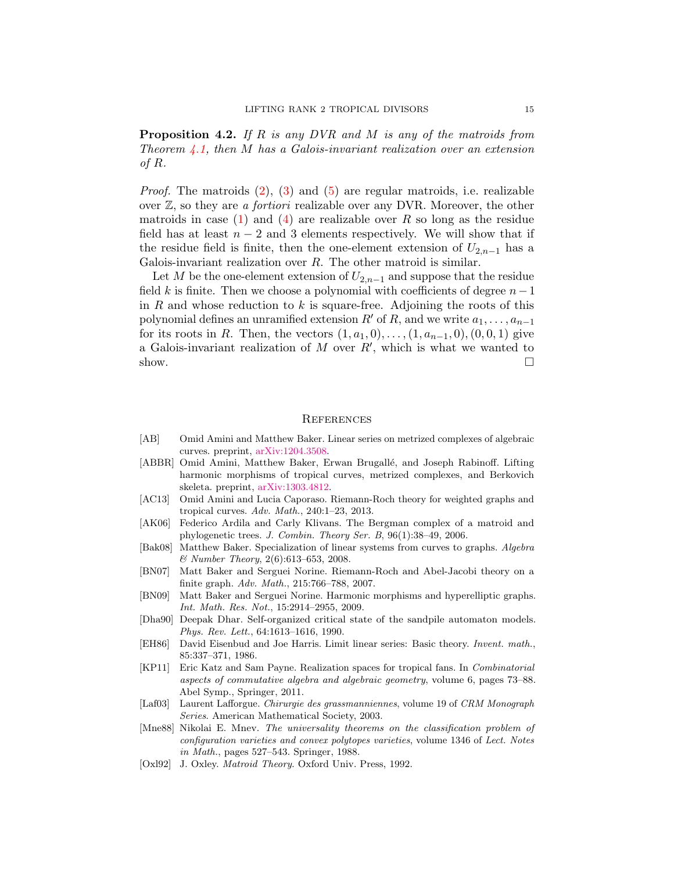**Proposition 4.2.** If R is any DVR and M is any of the matroids from Theorem [4.1,](#page-12-0) then M has a Galois-invariant realization over an extension of R.

*Proof.* The matroids  $(2)$ ,  $(3)$  and  $(5)$  are regular matroids, i.e. realizable over  $\mathbb{Z}$ , so they are *a fortiori* realizable over any DVR. Moreover, the other matroids in case  $(1)$  and  $(4)$  are realizable over R so long as the residue field has at least  $n-2$  and 3 elements respectively. We will show that if the residue field is finite, then the one-element extension of  $U_{2,n-1}$  has a Galois-invariant realization over  $R$ . The other matroid is similar.

Let M be the one-element extension of  $U_{2,n-1}$  and suppose that the residue field k is finite. Then we choose a polynomial with coefficients of degree  $n-1$ in R and whose reduction to k is square-free. Adjoining the roots of this polynomial defines an unramified extension R' of R, and we write  $a_1, \ldots, a_{n-1}$ for its roots in R. Then, the vectors  $(1, a_1, 0), \ldots, (1, a_{n-1}, 0), (0, 0, 1)$  give a Galois-invariant realization of M over  $R'$ , which is what we wanted to show.  $\Box$ 

### **REFERENCES**

- <span id="page-14-2"></span>[AB] Omid Amini and Matthew Baker. Linear series on metrized complexes of algebraic curves. preprint, [arXiv:1204.3508.](http://arxiv.org/abs/1204.3508)
- <span id="page-14-9"></span>[ABBR] Omid Amini, Matthew Baker, Erwan Brugallé, and Joseph Rabinoff. Lifting harmonic morphisms of tropical curves, metrized complexes, and Berkovich skeleta. preprint, [arXiv:1303.4812.](http://arxiv.org/abs/1303.4812)
- <span id="page-14-1"></span>[AC13] Omid Amini and Lucia Caporaso. Riemann-Roch theory for weighted graphs and tropical curves. Adv. Math., 240:1–23, 2013.
- <span id="page-14-5"></span>[AK06] Federico Ardila and Carly Klivans. The Bergman complex of a matroid and phylogenetic trees. J. Combin. Theory Ser. B, 96(1):38–49, 2006.
- <span id="page-14-0"></span>[Bak08] Matthew Baker. Specialization of linear systems from curves to graphs. Algebra & Number Theory, 2(6):613–653, 2008.
- <span id="page-14-11"></span>[BN07] Matt Baker and Serguei Norine. Riemann-Roch and Abel-Jacobi theory on a finite graph. Adv. Math., 215:766–788, 2007.
- <span id="page-14-10"></span>[BN09] Matt Baker and Serguei Norine. Harmonic morphisms and hyperelliptic graphs. Int. Math. Res. Not., 15:2914–2955, 2009.
- <span id="page-14-8"></span>[Dha90] Deepak Dhar. Self-organized critical state of the sandpile automaton models. Phys. Rev. Lett., 64:1613–1616, 1990.
- <span id="page-14-12"></span>[EH86] David Eisenbud and Joe Harris. Limit linear series: Basic theory. Invent. math., 85:337–371, 1986.
- <span id="page-14-6"></span>[KP11] Eric Katz and Sam Payne. Realization spaces for tropical fans. In Combinatorial aspects of commutative algebra and algebraic geometry, volume 6, pages 73–88. Abel Symp., Springer, 2011.
- <span id="page-14-4"></span>[Laf03] Laurent Lafforgue. Chirurgie des grassmanniennes, volume 19 of CRM Monograph Series. American Mathematical Society, 2003.
- <span id="page-14-3"></span>[Mne88] Nikolai E. Mnev. The universality theorems on the classification problem of configuration varieties and convex polytopes varieties, volume 1346 of Lect. Notes in Math., pages 527–543. Springer, 1988.
- <span id="page-14-7"></span>[Oxl92] J. Oxley. *Matroid Theory*. Oxford Univ. Press, 1992.